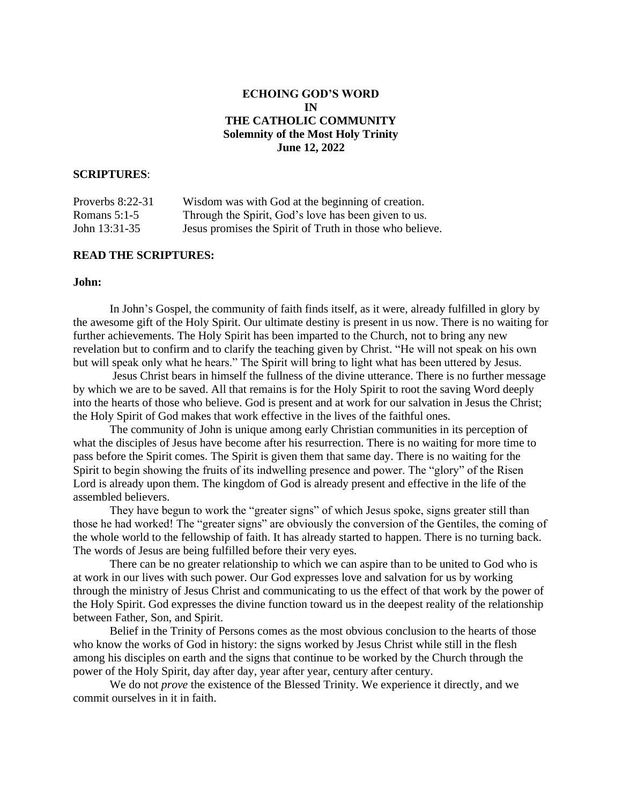# **ECHOING GOD'S WORD IN THE CATHOLIC COMMUNITY Solemnity of the Most Holy Trinity June 12, 2022**

## **SCRIPTURES**:

| Proverbs $8:22-31$ | Wisdom was with God at the beginning of creation.        |
|--------------------|----------------------------------------------------------|
| Romans $5:1-5$     | Through the Spirit, God's love has been given to us.     |
| John 13:31-35      | Jesus promises the Spirit of Truth in those who believe. |

### **READ THE SCRIPTURES:**

## **John:**

In John's Gospel, the community of faith finds itself, as it were, already fulfilled in glory by the awesome gift of the Holy Spirit. Our ultimate destiny is present in us now. There is no waiting for further achievements. The Holy Spirit has been imparted to the Church, not to bring any new revelation but to confirm and to clarify the teaching given by Christ. "He will not speak on his own but will speak only what he hears." The Spirit will bring to light what has been uttered by Jesus.

Jesus Christ bears in himself the fullness of the divine utterance. There is no further message by which we are to be saved. All that remains is for the Holy Spirit to root the saving Word deeply into the hearts of those who believe. God is present and at work for our salvation in Jesus the Christ; the Holy Spirit of God makes that work effective in the lives of the faithful ones.

The community of John is unique among early Christian communities in its perception of what the disciples of Jesus have become after his resurrection. There is no waiting for more time to pass before the Spirit comes. The Spirit is given them that same day. There is no waiting for the Spirit to begin showing the fruits of its indwelling presence and power. The "glory" of the Risen Lord is already upon them. The kingdom of God is already present and effective in the life of the assembled believers.

They have begun to work the "greater signs" of which Jesus spoke, signs greater still than those he had worked! The "greater signs" are obviously the conversion of the Gentiles, the coming of the whole world to the fellowship of faith. It has already started to happen. There is no turning back. The words of Jesus are being fulfilled before their very eyes.

There can be no greater relationship to which we can aspire than to be united to God who is at work in our lives with such power. Our God expresses love and salvation for us by working through the ministry of Jesus Christ and communicating to us the effect of that work by the power of the Holy Spirit. God expresses the divine function toward us in the deepest reality of the relationship between Father, Son, and Spirit.

Belief in the Trinity of Persons comes as the most obvious conclusion to the hearts of those who know the works of God in history: the signs worked by Jesus Christ while still in the flesh among his disciples on earth and the signs that continue to be worked by the Church through the power of the Holy Spirit, day after day, year after year, century after century.

We do not *prove* the existence of the Blessed Trinity. We experience it directly, and we commit ourselves in it in faith.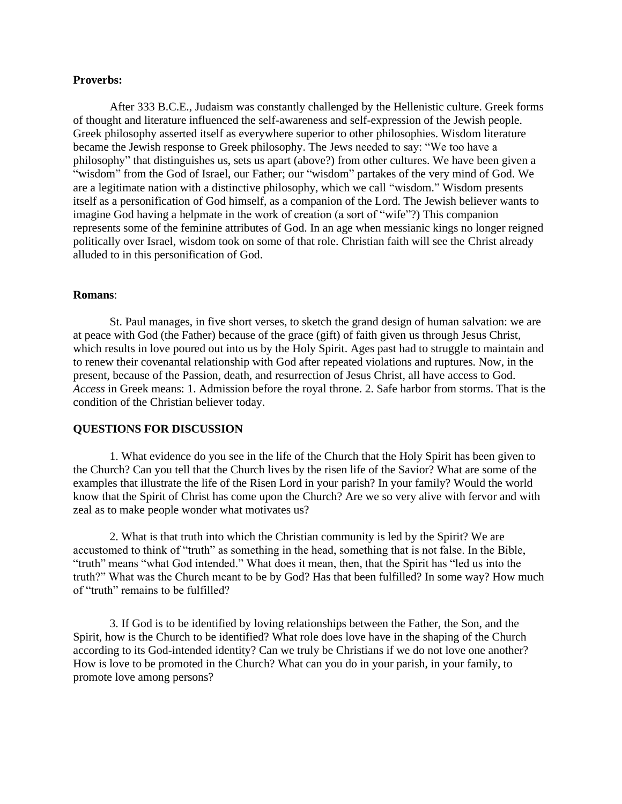### **Proverbs:**

After 333 B.C.E., Judaism was constantly challenged by the Hellenistic culture. Greek forms of thought and literature influenced the self-awareness and self-expression of the Jewish people. Greek philosophy asserted itself as everywhere superior to other philosophies. Wisdom literature became the Jewish response to Greek philosophy. The Jews needed to say: "We too have a philosophy" that distinguishes us, sets us apart (above?) from other cultures. We have been given a "wisdom" from the God of Israel, our Father; our "wisdom" partakes of the very mind of God. We are a legitimate nation with a distinctive philosophy, which we call "wisdom." Wisdom presents itself as a personification of God himself, as a companion of the Lord. The Jewish believer wants to imagine God having a helpmate in the work of creation (a sort of "wife"?) This companion represents some of the feminine attributes of God. In an age when messianic kings no longer reigned politically over Israel, wisdom took on some of that role. Christian faith will see the Christ already alluded to in this personification of God.

#### **Romans**:

St. Paul manages, in five short verses, to sketch the grand design of human salvation: we are at peace with God (the Father) because of the grace (gift) of faith given us through Jesus Christ, which results in love poured out into us by the Holy Spirit. Ages past had to struggle to maintain and to renew their covenantal relationship with God after repeated violations and ruptures. Now, in the present, because of the Passion, death, and resurrection of Jesus Christ, all have access to God. *Access* in Greek means: 1. Admission before the royal throne. 2. Safe harbor from storms. That is the condition of the Christian believer today.

### **QUESTIONS FOR DISCUSSION**

1. What evidence do you see in the life of the Church that the Holy Spirit has been given to the Church? Can you tell that the Church lives by the risen life of the Savior? What are some of the examples that illustrate the life of the Risen Lord in your parish? In your family? Would the world know that the Spirit of Christ has come upon the Church? Are we so very alive with fervor and with zeal as to make people wonder what motivates us?

2. What is that truth into which the Christian community is led by the Spirit? We are accustomed to think of "truth" as something in the head, something that is not false. In the Bible, "truth" means "what God intended." What does it mean, then, that the Spirit has "led us into the truth?" What was the Church meant to be by God? Has that been fulfilled? In some way? How much of "truth" remains to be fulfilled?

3. If God is to be identified by loving relationships between the Father, the Son, and the Spirit, how is the Church to be identified? What role does love have in the shaping of the Church according to its God-intended identity? Can we truly be Christians if we do not love one another? How is love to be promoted in the Church? What can you do in your parish, in your family, to promote love among persons?